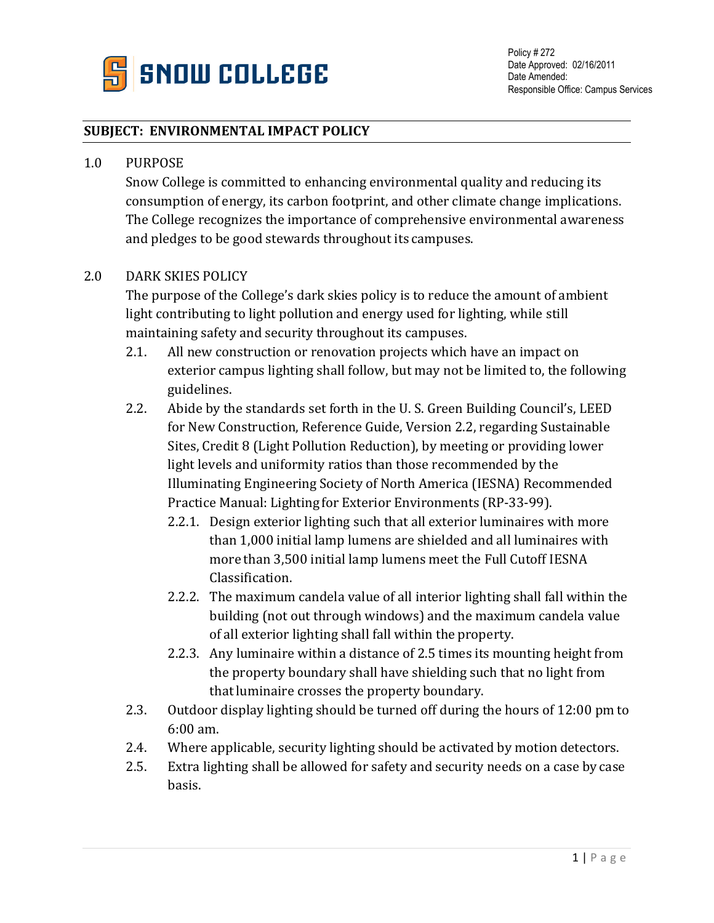

## **SUBJECT: ENVIRONMENTAL IMPACT POLICY**

## 1.0 PURPOSE

Snow College is committed to enhancing environmental quality and reducing its consumption of energy, its carbon footprint, and other climate change implications. The College recognizes the importance of comprehensive environmental awareness and pledges to be good stewards throughout its campuses.

## 2.0 DARK SKIES POLICY

The purpose of the College's dark skies policy is to reduce the amount of ambient light contributing to light pollution and energy used for lighting, while still maintaining safety and security throughout its campuses.

- 2.1. All new construction or renovation projects which have an impact on exterior campus lighting shall follow, but may not be limited to, the following guidelines.
- 2.2. Abide by the standards set forth in the U. S. Green Building Council's, LEED for New Construction, Reference Guide, Version 2.2, regarding Sustainable Sites, Credit 8 (Light Pollution Reduction), by meeting or providing lower light levels and uniformity ratios than those recommended by the Illuminating Engineering Society of North America (IESNA) Recommended Practice Manual: Lighting for Exterior Environments (RP-33-99).
	- 2.2.1. Design exterior lighting such that all exterior luminaires with more than 1,000 initial lamp lumens are shielded and all luminaires with more than 3,500 initial lamp lumens meet the Full Cutoff IESNA Classification.
	- 2.2.2. The maximum candela value of all interior lighting shall fall within the building (not out through windows) and the maximum candela value of all exterior lighting shall fall within the property.
	- 2.2.3. Any luminaire within a distance of 2.5 times its mounting height from the property boundary shall have shielding such that no light from that luminaire crosses the property boundary.
- 2.3. Outdoor display lighting should be turned off during the hours of 12:00 pm to 6:00 am.
- 2.4. Where applicable, security lighting should be activated by motion detectors.
- 2.5. Extra lighting shall be allowed for safety and security needs on a case by case basis.